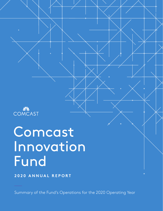

# Comcast Innovation Fund

**2020 ANNUAL REPORT**

Summary of the Fund's Operations for the 2020 Operating Year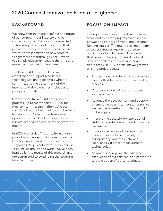## 2020 Comcast Innovation Fund at-a-glance:

#### **BACKGROUND**

We know that innovation defines the future of our company, our industry and our connected world. Comcast is committed to fostering a culture of innovation that permeates every level of our business, and we've witnessed firsthand how some of the greatest breakthroughs occur when you simply give smart people the time and resources they need to innovate.

The Comcast Innovation Fund was established to support researchers, technologists, and academics who are committed to the betterment of the Internet and the global technology and policy community.

Grants range from \$3,000 for smaller projects, up to more than \$100,000 for medium-term research efforts. A crossfunctional team of technology and business leaders within Comcast reviews grant applications and directs funding where it is most needed and can have the greatest impact.

In 2020, we funded 17 grants from a large pool of worthwhile applications. Since the Fund's inception in 2013, Comcast has supported 162 projects from researchers in 15 countries around the world. We've been inspired by the results of this research and are committed to continuing the program into the future.

### **FOCUS ON IMPACT**

Through the innovation fund, we focus on small and midsized projects that may slip between the cracks of traditional research funding sources. The multidisciplinary team of subject matter experts that review applications look for research projects that move technology forward by tackling difficult problems or pioneering new approaches. In 2019, particular weight was given to projects that:

- Address cybersecurity, safety, and privacy threats that face our customers and our services.
- Create or advance important opensource projects.
- Advance the development and adoption of emerging open Internet standards, as well as the transition from legacy to IP technologies.
- Improve the accessibility, operational stability, security, growth, and impact of the Internet.
- Improve the technical community's understanding of the Internet, transparency, and the customer experience via better measurement technologies.
- Advance and improve the customer experience of our services, and contribute to the creation of better products.

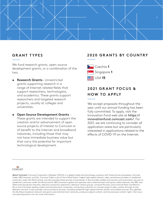

#### **GRANT TYPES**

We fund research grants, open-source development grants, or a combination of the two.

- **• Research Grants** Unrestricted grants supporting research in a range of Internet-related fields that support researchers, technologists, and academics. These grants support researchers and targeted research projects, usually at colleges and universities.
- **• Open Source Development Grants**  These grants are intended to support the creation and/or advancement of open source projects of interest to Comcast or of benefit to the Internet and broadband industries, including those that may not have immediate business value but that carry the potential for important technological development.

#### **2020 GRANTS BY COUNTRY**



## **2 0 2 1 G R A N T F O C U S & HOW TO APPLY**

We accept proposals throughout the year until our annual funding has been fully committed. To apply, visit the Innovation Fund web site at https:// innovationfund.comcast.com/. For 2021, we are continuing to consider all application areas but are particularly interested in applications related to the effects of COVID-19 on the Internet.



About Comcast: Comcast Corporation (Nasdaq: CMCSA) is a global media and technology company with three primary businesses: Comcast Cable, NBCUniversal, and Sky. Comcast Cable is one of the United States' largest high-speed internet, video, and phone providers to residential customers under the Xfinity brand, and also provides these services to businesses. It also provides wireless and security and automation services to residential customers under the Xfinity brand. NBCUniversal is global and operates news, entertainment and sports cable networks, the NBC and Telemundo broadcast networks, television production operations, television station groups, Universal Pictures, and Universal Parks and Resorts. Sky is one of Europe's leading media and entertainment companies, connecting customers to a broad range of video content through its pay television services. It also provides communications services, including residential high-speed internet, phone, and wireless services. Sky operates the Sky News broadcast network and sports and entertainment networks, produces original content, and has exclusive content rights. Visit www. comcastcorporation.com for more information.